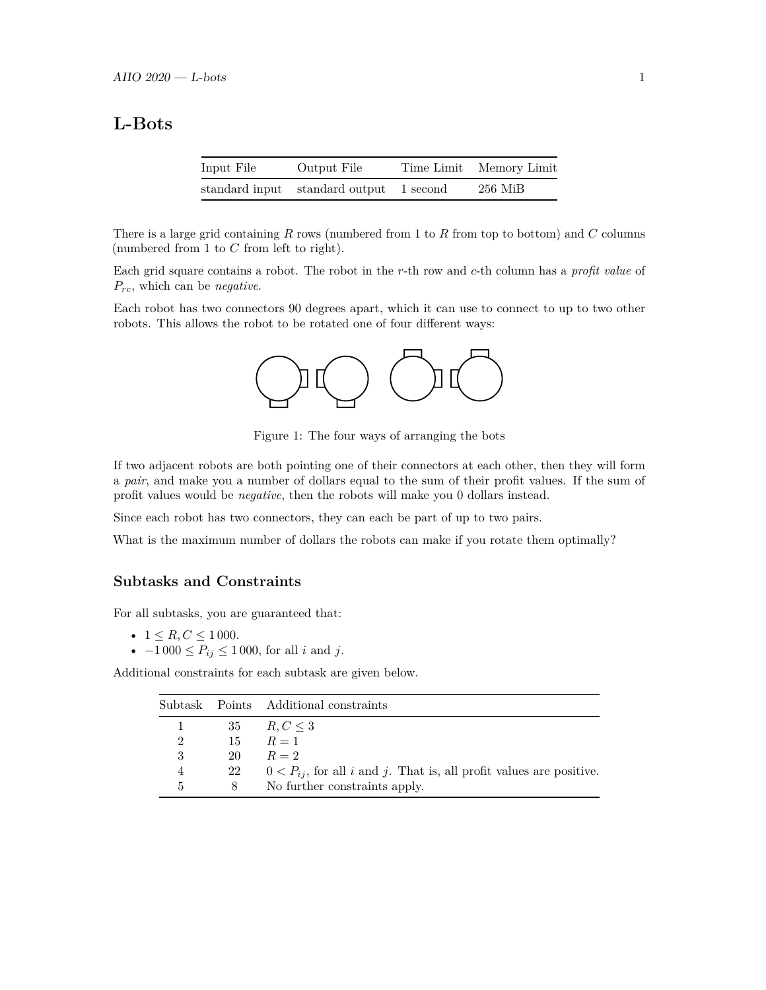# **L-Bots**

| Input File | Output File                             | Time Limit Memory Limit |
|------------|-----------------------------------------|-------------------------|
|            | standard input standard output 1 second | $256$ MiB               |

There is a large grid containing *R* rows (numbered from 1 to *R* from top to bottom) and *C* columns (numbered from 1 to *C* from left to right).

Each grid square contains a robot. The robot in the *r*-th row and *c*-th column has a *profit value* of *Prc*, which can be *negative*.

Each robot has two connectors 90 degrees apart, which it can use to connect to up to two other robots. This allows the robot to be rotated one of four different ways:



Figure 1: The four ways of arranging the bots

If two adjacent robots are both pointing one of their connectors at each other, then they will form a *pair*, and make you a number of dollars equal to the sum of their profit values. If the sum of profit values would be *negative*, then the robots will make you 0 dollars instead.

Since each robot has two connectors, they can each be part of up to two pairs.

What is the maximum number of dollars the robots can make if you rotate them optimally?

#### **Subtasks and Constraints**

For all subtasks, you are guaranteed that:

- $1 \leq R, C \leq 1000$ .
- $-1000 \le P_{ij} \le 1000$ , for all *i* and *j*.

Additional constraints for each subtask are given below.

|                |    | Subtask Points Additional constraints                                    |
|----------------|----|--------------------------------------------------------------------------|
|                |    | 35 $R, C \leq 3$                                                         |
| $\overline{2}$ |    | $15 \qquad R=1$                                                          |
| 3              | 20 | $R=2$                                                                    |
| 4              | 22 | $0 < P_{ij}$ , for all i and j. That is, all profit values are positive. |
| 5              | 8  | No further constraints apply.                                            |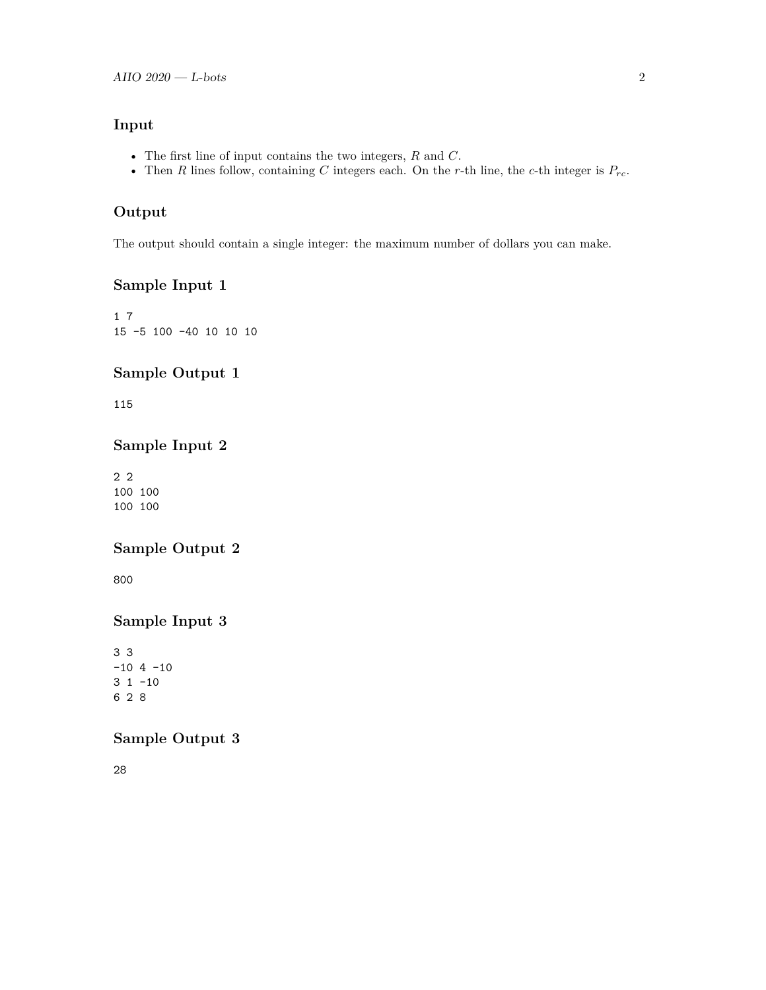### **Input**

- The first line of input contains the two integers, *R* and *C*.
- Then *R* lines follow, containing *C* integers each. On the *r*-th line, the *c*-th integer is  $P_{rc}$ .

### **Output**

The output should contain a single integer: the maximum number of dollars you can make.

## **Sample Input 1**

1 7 15 -5 100 -40 10 10 10

#### **Sample Output 1**

115

#### **Sample Input 2**

2 2 100 100 100 100

### **Sample Output 2**

800

# **Sample Input 3**

3 3  $-10$  4  $-10$ 3 1 -10 6 2 8

## **Sample Output 3**

28